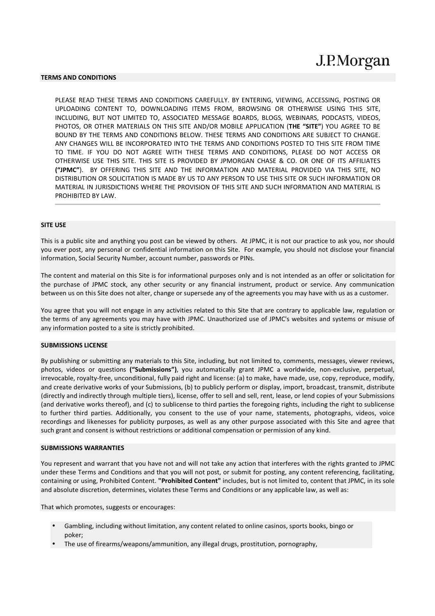### **TERMS AND CONDITIONS**

PLEASE READ THESE TERMS AND CONDITIONS CAREFULLY. BY ENTERING, VIEWING, ACCESSING, POSTING OR UPLOADING CONTENT TO, DOWNLOADING ITEMS FROM, BROWSING OR OTHERWISE USING THIS SITE, INCLUDING, BUT NOT LIMITED TO, ASSOCIATED MESSAGE BOARDS, BLOGS, WEBINARS, PODCASTS, VIDEOS, PHOTOS, OR OTHER MATERIALS ON THIS SITE AND/OR MOBILE APPLICATION (**THE "SITE"**) YOU AGREE TO BE BOUND BY THE TERMS AND CONDITIONS BELOW. THESE TERMS AND CONDITIONS ARE SUBJECT TO CHANGE. ANY CHANGES WILL BE INCORPORATED INTO THE TERMS AND CONDITIONS POSTED TO THIS SITE FROM TIME TO TIME. IF YOU DO NOT AGREE WITH THESE TERMS AND CONDITIONS, PLEASE DO NOT ACCESS OR OTHERWISE USE THIS SITE. THIS SITE IS PROVIDED BY JPMORGAN CHASE & CO. OR ONE OF ITS AFFILIATES **("JPMC"**). BY OFFERING THIS SITE AND THE INFORMATION AND MATERIAL PROVIDED VIA THIS SITE, NO DISTRIBUTION OR SOLICITATION IS MADE BY US TO ANY PERSON TO USE THIS SITE OR SUCH INFORMATION OR MATERIAL IN JURISDICTIONS WHERE THE PROVISION OF THIS SITE AND SUCH INFORMATION AND MATERIAL IS PROHIBITED BY LAW.

#### **SITE USE**

This is a public site and anything you post can be viewed by others. At JPMC, it is not our practice to ask you, nor should you ever post, any personal or confidential information on this Site. For example, you should not disclose your financial information, Social Security Number, account number, passwords or PINs.

The content and material on this Site is for informational purposes only and is not intended as an offer or solicitation for the purchase of JPMC stock, any other security or any financial instrument, product or service. Any communication between us on this Site does not alter, change or supersede any of the agreements you may have with us as a customer.

You agree that you will not engage in any activities related to this Site that are contrary to applicable law, regulation or the terms of any agreements you may have with JPMC. Unauthorized use of JPMC's websites and systems or misuse of any information posted to a site is strictly prohibited.

#### **SUBMISSIONS LICENSE**

By publishing or submitting any materials to this Site, including, but not limited to, comments, messages, viewer reviews, photos, videos or questions **("Submissions")**, you automatically grant JPMC a worldwide, non-exclusive, perpetual, irrevocable, royalty-free, unconditional, fully paid right and license: (a) to make, have made, use, copy, reproduce, modify, and create derivative works of your Submissions, (b) to publicly perform or display, import, broadcast, transmit, distribute (directly and indirectly through multiple tiers), license, offer to sell and sell, rent, lease, or lend copies of your Submissions (and derivative works thereof), and (c) to sublicense to third parties the foregoing rights, including the right to sublicense to further third parties. Additionally, you consent to the use of your name, statements, photographs, videos, voice recordings and likenesses for publicity purposes, as well as any other purpose associated with this Site and agree that such grant and consent is without restrictions or additional compensation or permission of any kind.

#### **SUBMISSIONS WARRANTIES**

You represent and warrant that you have not and will not take any action that interferes with the rights granted to JPMC under these Terms and Conditions and that you will not post, or submit for posting, any content referencing, facilitating, containing or using, Prohibited Content. **"Prohibited Content"** includes, but is not limited to, content that JPMC, in its sole and absolute discretion, determines, violates these Terms and Conditions or any applicable law, as well as:

That which promotes, suggests or encourages:

- Gambling, including without limitation, any content related to online casinos, sports books, bingo or poker;
- The use of firearms/weapons/ammunition, any illegal drugs, prostitution, pornography,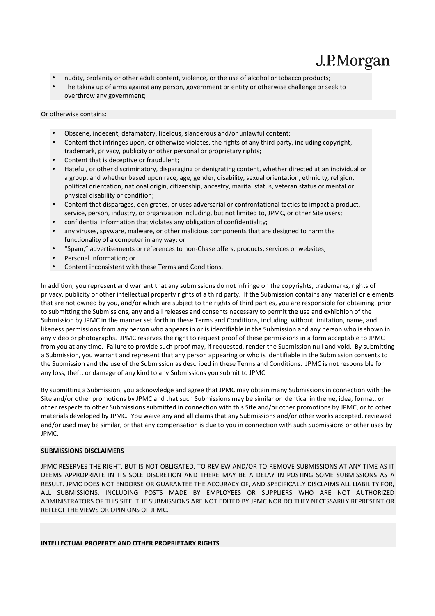- nudity, profanity or other adult content, violence, or the use of alcohol or tobacco products;
- The taking up of arms against any person, government or entity or otherwise challenge or seek to overthrow any government;

Or otherwise contains:

- Obscene, indecent, defamatory, libelous, slanderous and/or unlawful content;
- Content that infringes upon, or otherwise violates, the rights of any third party, including copyright, trademark, privacy, publicity or other personal or proprietary rights;
- Content that is deceptive or fraudulent;
- Hateful, or other discriminatory, disparaging or denigrating content, whether directed at an individual or a group, and whether based upon race, age, gender, disability, sexual orientation, ethnicity, religion, political orientation, national origin, citizenship, ancestry, marital status, veteran status or mental or physical disability or condition;
- Content that disparages, denigrates, or uses adversarial or confrontational tactics to impact a product, service, person, industry, or organization including, but not limited to, JPMC, or other Site users;
- confidential information that violates any obligation of confidentiality;
- any viruses, spyware, malware, or other malicious components that are designed to harm the functionality of a computer in any way; or
- "Spam," advertisements or references to non-Chase offers, products, services or websites;
- Personal Information; or
- Content inconsistent with these Terms and Conditions.

In addition, you represent and warrant that any submissions do not infringe on the copyrights, trademarks, rights of privacy, publicity or other intellectual property rights of a third party. If the Submission contains any material or elements that are not owned by you, and/or which are subject to the rights of third parties, you are responsible for obtaining, prior to submitting the Submissions, any and all releases and consents necessary to permit the use and exhibition of the Submission by JPMC in the manner set forth in these Terms and Conditions, including, without limitation, name, and likeness permissions from any person who appears in or is identifiable in the Submission and any person who is shown in any video or photographs. JPMC reserves the right to request proof of these permissions in a form acceptable to JPMC from you at any time. Failure to provide such proof may, if requested, render the Submission null and void. By submitting a Submission, you warrant and represent that any person appearing or who is identifiable in the Submission consents to the Submission and the use of the Submission as described in these Terms and Conditions. JPMC is not responsible for any loss, theft, or damage of any kind to any Submissions you submit to JPMC.

By submitting a Submission, you acknowledge and agree that JPMC may obtain many Submissions in connection with the Site and/or other promotions by JPMC and that such Submissions may be similar or identical in theme, idea, format, or other respects to other Submissions submitted in connection with this Site and/or other promotions by JPMC, or to other materials developed by JPMC. You waive any and all claims that any Submissions and/or other works accepted, reviewed and/or used may be similar, or that any compensation is due to you in connection with such Submissions or other uses by JPMC.

## **SUBMISSIONS DISCLAIMERS**

JPMC RESERVES THE RIGHT, BUT IS NOT OBLIGATED, TO REVIEW AND/OR TO REMOVE SUBMISSIONS AT ANY TIME AS IT DEEMS APPROPRIATE IN ITS SOLE DISCRETION AND THERE MAY BE A DELAY IN POSTING SOME SUBMISSIONS AS A RESULT. JPMC DOES NOT ENDORSE OR GUARANTEE THE ACCURACY OF, AND SPECIFICALLY DISCLAIMS ALL LIABILITY FOR, ALL SUBMISSIONS, INCLUDING POSTS MADE BY EMPLOYEES OR SUPPLIERS WHO ARE NOT AUTHORIZED ADMINISTRATORS OF THIS SITE. THE SUBMISSIONS ARE NOT EDITED BY JPMC NOR DO THEY NECESSARILY REPRESENT OR REFLECT THE VIEWS OR OPINIONS OF JPMC.

#### **INTELLECTUAL PROPERTY AND OTHER PROPRIETARY RIGHTS**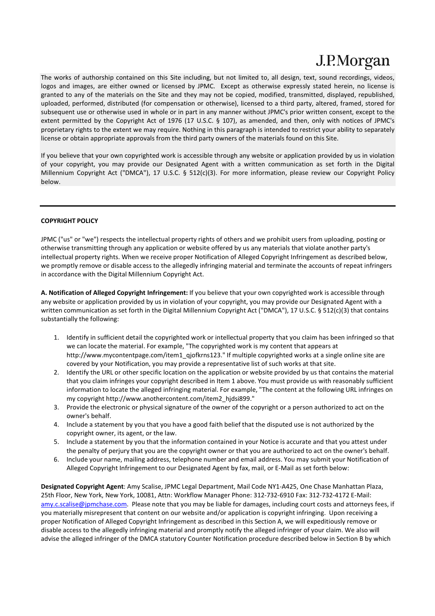The works of authorship contained on this Site including, but not limited to, all design, text, sound recordings, videos, logos and images, are either owned or licensed by JPMC. Except as otherwise expressly stated herein, no license is granted to any of the materials on the Site and they may not be copied, modified, transmitted, displayed, republished, uploaded, performed, distributed (for compensation or otherwise), licensed to a third party, altered, framed, stored for subsequent use or otherwise used in whole or in part in any manner without JPMC's prior written consent, except to the extent permitted by the Copyright Act of 1976 (17 U.S.C. § 107), as amended, and then, only with notices of JPMC's proprietary rights to the extent we may require. Nothing in this paragraph is intended to restrict your ability to separately license or obtain appropriate approvals from the third party owners of the materials found on this Site.

If you believe that your own copyrighted work is accessible through any website or application provided by us in violation of your copyright, you may provide our Designated Agent with a written communication as set forth in the Digital Millennium Copyright Act ("DMCA"), 17 U.S.C. § 512(c)(3). For more information, please review our Copyright Policy below.

## **COPYRIGHT POLICY**

JPMC ("us" or "we") respects the intellectual property rights of others and we prohibit users from uploading, posting or otherwise transmitting through any application or website offered by us any materials that violate another party's intellectual property rights. When we receive proper Notification of Alleged Copyright Infringement as described below, we promptly remove or disable access to the allegedly infringing material and terminate the accounts of repeat infringers in accordance with the Digital Millennium Copyright Act.

**A. Notification of Alleged Copyright Infringement:** If you believe that your own copyrighted work is accessible through any website or application provided by us in violation of your copyright, you may provide our Designated Agent with a written communication as set forth in the Digital Millennium Copyright Act ("DMCA"), 17 U.S.C. § 512(c)(3) that contains substantially the following:

- 1. Identify in sufficient detail the copyrighted work or intellectual property that you claim has been infringed so that we can locate the material. For example, "The copyrighted work is my content that appears at http://www.mycontentpage.com/item1\_qjofkrns123." If multiple copyrighted works at a single online site are covered by your Notification, you may provide a representative list of such works at that site.
- 2. Identify the URL or other specific location on the application or website provided by us that contains the material that you claim infringes your copyright described in Item 1 above. You must provide us with reasonably sufficient information to locate the alleged infringing material. For example, "The content at the following URL infringes on my copyright http://www.anothercontent.com/item2\_hjdsi899."
- 3. Provide the electronic or physical signature of the owner of the copyright or a person authorized to act on the owner's behalf.
- 4. Include a statement by you that you have a good faith belief that the disputed use is not authorized by the copyright owner, its agent, or the law.
- 5. Include a statement by you that the information contained in your Notice is accurate and that you attest under the penalty of perjury that you are the copyright owner or that you are authorized to act on the owner's behalf.
- 6. Include your name, mailing address, telephone number and email address. You may submit your Notification of Alleged Copyright Infringement to our Designated Agent by fax, mail, or E-Mail as set forth below:

**Designated Copyright Agent**: Amy Scalise, JPMC Legal Department, Mail Code NY1-A425, One Chase Manhattan Plaza, 25th Floor, New York, New York, 10081, Attn: Workflow Manager Phone: 312-732-6910 Fax: 312-732-4172 E-Mail: amy.c.scalise@jpmchase.com. Please note that you may be liable for damages, including court costs and attorneys fees, if you materially misrepresent that content on our website and/or application is copyright infringing. Upon receiving a proper Notification of Alleged Copyright Infringement as described in this Section A, we will expeditiously remove or disable access to the allegedly infringing material and promptly notify the alleged infringer of your claim. We also will advise the alleged infringer of the DMCA statutory Counter Notification procedure described below in Section B by which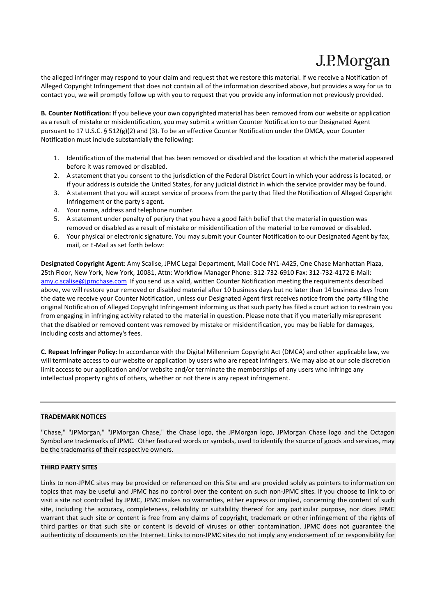the alleged infringer may respond to your claim and request that we restore this material. If we receive a Notification of Alleged Copyright Infringement that does not contain all of the information described above, but provides a way for us to contact you, we will promptly follow up with you to request that you provide any information not previously provided.

**B. Counter Notification:** If you believe your own copyrighted material has been removed from our website or application as a result of mistake or misidentification, you may submit a written Counter Notification to our Designated Agent pursuant to 17 U.S.C. § 512(g)(2) and (3). To be an effective Counter Notification under the DMCA, your Counter Notification must include substantially the following:

- 1. Identification of the material that has been removed or disabled and the location at which the material appeared before it was removed or disabled.
- 2. A statement that you consent to the jurisdiction of the Federal District Court in which your address is located, or if your address is outside the United States, for any judicial district in which the service provider may be found.
- 3. A statement that you will accept service of process from the party that filed the Notification of Alleged Copyright Infringement or the party's agent.
- 4. Your name, address and telephone number.
- 5. A statement under penalty of perjury that you have a good faith belief that the material in question was removed or disabled as a result of mistake or misidentification of the material to be removed or disabled.
- 6. Your physical or electronic signature. You may submit your Counter Notification to our Designated Agent by fax, mail, or E-Mail as set forth below:

**Designated Copyright Agent**: Amy Scalise, JPMC Legal Department, Mail Code NY1-A425, One Chase Manhattan Plaza, 25th Floor, New York, New York, 10081, Attn: Workflow Manager Phone: 312-732-6910 Fax: 312-732-4172 E-Mail: amy.c.scalise@jpmchase.com If you send us a valid, written Counter Notification meeting the requirements described above, we will restore your removed or disabled material after 10 business days but no later than 14 business days from the date we receive your Counter Notification, unless our Designated Agent first receives notice from the party filing the original Notification of Alleged Copyright Infringement informing us that such party has filed a court action to restrain you from engaging in infringing activity related to the material in question. Please note that if you materially misrepresent that the disabled or removed content was removed by mistake or misidentification, you may be liable for damages, including costs and attorney's fees.

**C. Repeat Infringer Policy:** In accordance with the Digital Millennium Copyright Act (DMCA) and other applicable law, we will terminate access to our website or application by users who are repeat infringers. We may also at our sole discretion limit access to our application and/or website and/or terminate the memberships of any users who infringe any intellectual property rights of others, whether or not there is any repeat infringement.

## **TRADEMARK NOTICES**

"Chase," "JPMorgan," "JPMorgan Chase," the Chase logo, the JPMorgan logo, JPMorgan Chase logo and the Octagon Symbol are trademarks of JPMC. Other featured words or symbols, used to identify the source of goods and services, may be the trademarks of their respective owners.

## **THIRD PARTY SITES**

Links to non-JPMC sites may be provided or referenced on this Site and are provided solely as pointers to information on topics that may be useful and JPMC has no control over the content on such non-JPMC sites. If you choose to link to or visit a site not controlled by JPMC, JPMC makes no warranties, either express or implied, concerning the content of such site, including the accuracy, completeness, reliability or suitability thereof for any particular purpose, nor does JPMC warrant that such site or content is free from any claims of copyright, trademark or other infringement of the rights of third parties or that such site or content is devoid of viruses or other contamination. JPMC does not guarantee the authenticity of documents on the Internet. Links to non-JPMC sites do not imply any endorsement of or responsibility for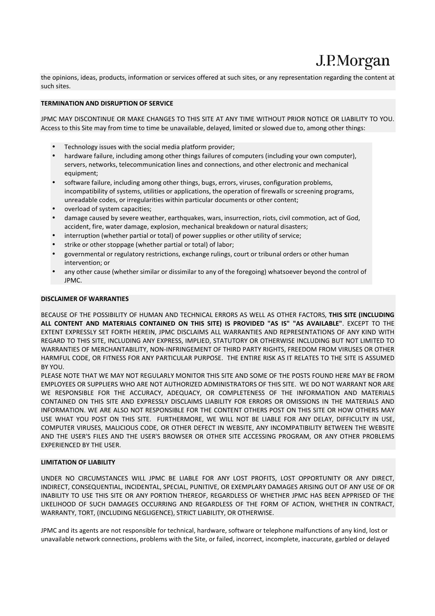the opinions, ideas, products, information or services offered at such sites, or any representation regarding the content at such sites.

## **TERMINATION AND DISRUPTION OF SERVICE**

JPMC MAY DISCONTINUE OR MAKE CHANGES TO THIS SITE AT ANY TIME WITHOUT PRIOR NOTICE OR LIABILITY TO YOU. Access to this Site may from time to time be unavailable, delayed, limited or slowed due to, among other things:

- Technology issues with the social media platform provider;
- hardware failure, including among other things failures of computers (including your own computer), servers, networks, telecommunication lines and connections, and other electronic and mechanical equipment;
- software failure, including among other things, bugs, errors, viruses, configuration problems, incompatibility of systems, utilities or applications, the operation of firewalls or screening programs, unreadable codes, or irregularities within particular documents or other content;
- overload of system capacities;
- damage caused by severe weather, earthquakes, wars, insurrection, riots, civil commotion, act of God, accident, fire, water damage, explosion, mechanical breakdown or natural disasters;
- interruption (whether partial or total) of power supplies or other utility of service;
- strike or other stoppage (whether partial or total) of labor;
- governmental or regulatory restrictions, exchange rulings, court or tribunal orders or other human intervention; or
- any other cause (whether similar or dissimilar to any of the foregoing) whatsoever beyond the control of JPMC.

#### **DISCLAIMER OF WARRANTIES**

BECAUSE OF THE POSSIBILITY OF HUMAN AND TECHNICAL ERRORS AS WELL AS OTHER FACTORS, **THIS SITE (INCLUDING ALL CONTENT AND MATERIALS CONTAINED ON THIS SITE) IS PROVIDED "AS IS" "AS AVAILABLE"**. EXCEPT TO THE EXTENT EXPRESSLY SET FORTH HEREIN, JPMC DISCLAIMS ALL WARRANTIES AND REPRESENTATIONS OF ANY KIND WITH REGARD TO THIS SITE, INCLUDING ANY EXPRESS, IMPLIED, STATUTORY OR OTHERWISE INCLUDING BUT NOT LIMITED TO WARRANTIES OF MERCHANTABILITY, NON-INFRINGEMENT OF THIRD PARTY RIGHTS, FREEDOM FROM VIRUSES OR OTHER HARMFUL CODE, OR FITNESS FOR ANY PARTICULAR PURPOSE. THE ENTIRE RISK AS IT RELATES TO THE SITE IS ASSUMED BY YOU.

PLEASE NOTE THAT WE MAY NOT REGULARLY MONITOR THIS SITE AND SOME OF THE POSTS FOUND HERE MAY BE FROM EMPLOYEES OR SUPPLIERS WHO ARE NOT AUTHORIZED ADMINISTRATORS OF THIS SITE. WE DO NOT WARRANT NOR ARE WE RESPONSIBLE FOR THE ACCURACY, ADEQUACY, OR COMPLETENESS OF THE INFORMATION AND MATERIALS CONTAINED ON THIS SITE AND EXPRESSLY DISCLAIMS LIABILITY FOR ERRORS OR OMISSIONS IN THE MATERIALS AND INFORMATION. WE ARE ALSO NOT RESPONSIBLE FOR THE CONTENT OTHERS POST ON THIS SITE OR HOW OTHERS MAY USE WHAT YOU POST ON THIS SITE. FURTHERMORE, WE WILL NOT BE LIABLE FOR ANY DELAY, DIFFICULTY IN USE, COMPUTER VIRUSES, MALICIOUS CODE, OR OTHER DEFECT IN WEBSITE, ANY INCOMPATIBILITY BETWEEN THE WEBSITE AND THE USER'S FILES AND THE USER'S BROWSER OR OTHER SITE ACCESSING PROGRAM, OR ANY OTHER PROBLEMS EXPERIENCED BY THE USER.

#### **LIMITATION OF LIABILITY**

UNDER NO CIRCUMSTANCES WILL JPMC BE LIABLE FOR ANY LOST PROFITS, LOST OPPORTUNITY OR ANY DIRECT, INDIRECT, CONSEQUENTIAL, INCIDENTAL, SPECIAL, PUNITIVE, OR EXEMPLARY DAMAGES ARISING OUT OF ANY USE OF OR INABILITY TO USE THIS SITE OR ANY PORTION THEREOF, REGARDLESS OF WHETHER JPMC HAS BEEN APPRISED OF THE LIKELIHOOD OF SUCH DAMAGES OCCURRING AND REGARDLESS OF THE FORM OF ACTION, WHETHER IN CONTRACT, WARRANTY, TORT, (INCLUDING NEGLIGENCE), STRICT LIABILITY, OR OTHERWISE.

JPMC and its agents are not responsible for technical, hardware, software or telephone malfunctions of any kind, lost or unavailable network connections, problems with the Site, or failed, incorrect, incomplete, inaccurate, garbled or delayed